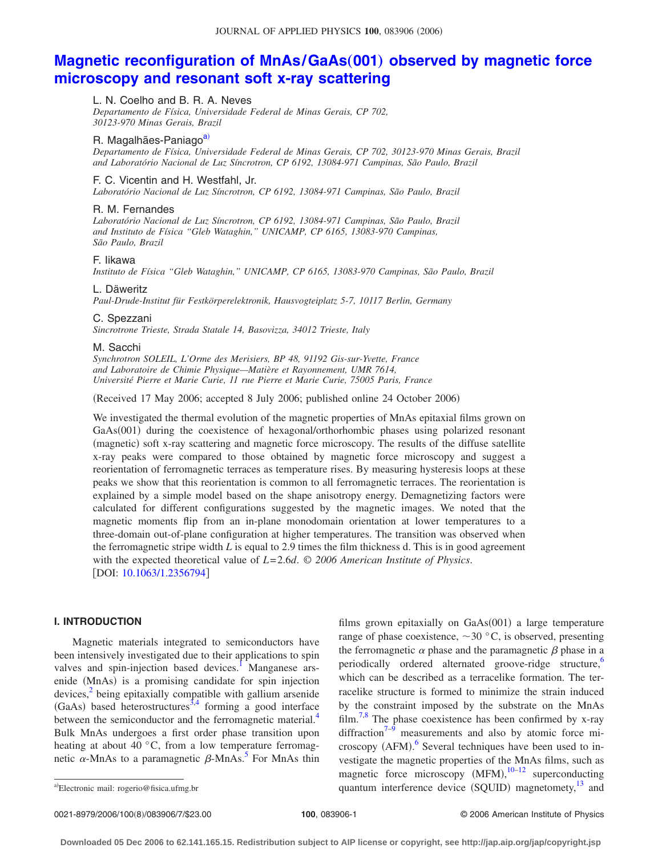# **[Magnetic reconfiguration of MnAs/GaAs](http://dx.doi.org/10.1063/1.2356794)(001) observed by magnetic force [microscopy and resonant soft x-ray scattering](http://dx.doi.org/10.1063/1.2356794)**

# L. N. Coelho and B. R. A. Neves

*Departamento de Física, Universidade Federal de Minas Gerais, CP 702, 30123-970 Minas Gerais, Brazil*

# R. Magalhães-Paniago<sup>a)</sup>

*Departamento de Física, Universidade Federal de Minas Gerais, CP 702, 30123-970 Minas Gerais, Brazil and Laboratório Nacional de Luz Síncrotron, CP 6192, 13084-971 Campinas, São Paulo, Brazil*

## F. C. Vicentin and H. Westfahl, Jr.

*Laboratório Nacional de Luz Síncrotron, CP 6192, 13084-971 Campinas, São Paulo, Brazil*

## R. M. Fernandes

*Laboratório Nacional de Luz Síncrotron, CP 6192, 13084-971 Campinas, São Paulo, Brazil and Instituto de Física "Gleb Wataghin," UNICAMP, CP 6165, 13083-970 Campinas, São Paulo, Brazil*

## F. Iikawa

*Instituto de Física "Gleb Wataghin," UNICAMP, CP 6165, 13083-970 Campinas, São Paulo, Brazil*

## L. Däweritz

*Paul-Drude-Institut für Festkörperelektronik, Hausvogteiplatz 5-7, 10117 Berlin, Germany*

## C. Spezzani

*Sincrotrone Trieste, Strada Statale 14, Basovizza, 34012 Trieste, Italy*

#### M. Sacchi

*Synchrotron SOLEIL, L'Orme des Merisiers, BP 48, 91192 Gis-sur-Yvette, France and Laboratoire de Chimie Physique—Matière et Rayonnement, UMR 7614, Université Pierre et Marie Curie, 11 rue Pierre et Marie Curie, 75005 Paris, France*

(Received 17 May 2006; accepted 8 July 2006; published online 24 October 2006)

We investigated the thermal evolution of the magnetic properties of MnAs epitaxial films grown on GaAs(001) during the coexistence of hexagonal/orthorhombic phases using polarized resonant (magnetic) soft x-ray scattering and magnetic force microscopy. The results of the diffuse satellite x-ray peaks were compared to those obtained by magnetic force microscopy and suggest a reorientation of ferromagnetic terraces as temperature rises. By measuring hysteresis loops at these peaks we show that this reorientation is common to all ferromagnetic terraces. The reorientation is explained by a simple model based on the shape anisotropy energy. Demagnetizing factors were calculated for different configurations suggested by the magnetic images. We noted that the magnetic moments flip from an in-plane monodomain orientation at lower temperatures to a three-domain out-of-plane configuration at higher temperatures. The transition was observed when the ferromagnetic stripe width  $L$  is equal to 2.9 times the film thickness d. This is in good agreement with the expected theoretical value of *L*= 2.6*d*. © *2006 American Institute of Physics*. [DOI: [10.1063/1.2356794](http://dx.doi.org/10.1063/1.2356794)]

# **I. INTRODUCTION**

Magnetic materials integrated to semiconductors have been intensively investigated due to their applications to spin valves and spin-injection based devices.<sup>1</sup> Manganese arsenide (MnAs) is a promising candidate for spin injection devices, $\frac{2}{3}$  being epitaxially compatible with gallium arsenide (GaAs) based heterostructures<sup>3[,4](#page-5-3)</sup> forming a good interface between the semiconductor and the ferromagnetic material.<sup>4</sup> Bulk MnAs undergoes a first order phase transition upon heating at about 40 °C, from a low temperature ferromagnetic  $\alpha$ -MnAs to a paramagnetic  $\beta$ -MnAs.<sup>5</sup> For MnAs thin

films grown epitaxially on GaAs(001) a large temperature range of phase coexistence,  $\sim$  30 °C, is observed, presenting the ferromagnetic  $\alpha$  phase and the paramagnetic  $\beta$  phase in a periodically ordered alternated groove-ridge structure,<sup>6</sup> which can be described as a terracelike formation. The terracelike structure is formed to minimize the strain induced by the constraint imposed by the substrate on the MnAs film.<sup>7,[8](#page-5-7)</sup> The phase coexistence has been confirmed by x-ray diffraction<sup>7[–9](#page-5-8)</sup> measurements and also by atomic force mi-croscopy (AFM).<sup>[6](#page-5-5)</sup> Several techniques have been used to investigate the magnetic properties of the MnAs films, such as magnetic force microscopy  $(MFM)$ ,  $10-12$  $10-12$  superconducting a)Electronic mail: rogerio@fisica.ufmg.br **and a-computer** quantum interference device (SQUID) magnetomety,  $^{13}$  and

0021-8979/2006/100(8)/083906/7/\$23.00

<span id="page-0-0"></span>Electronic mail: rogerio@fisica.ufmg.br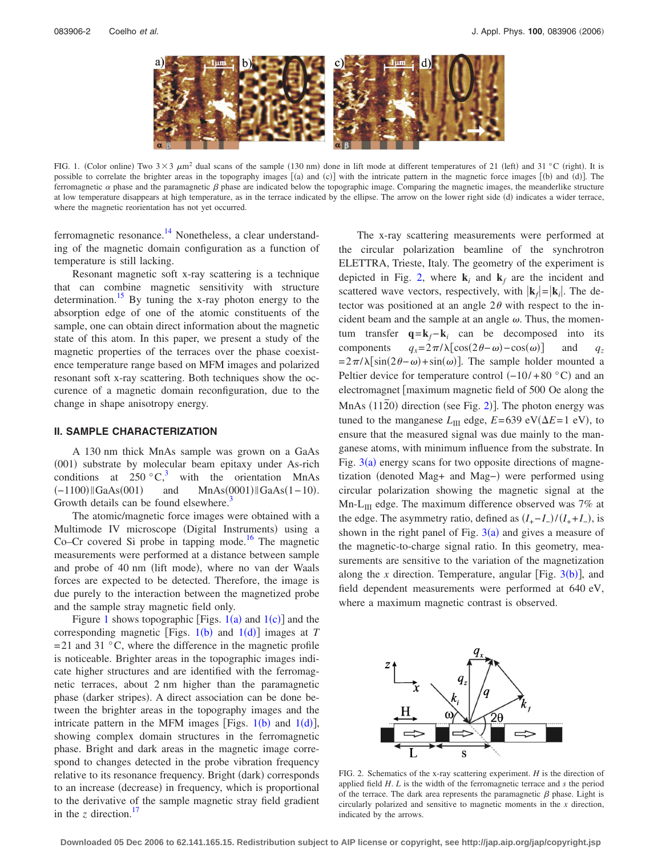<span id="page-1-0"></span>

FIG. 1. (Color online) Two  $3 \times 3 \mu m^2$  dual scans of the sample (130 nm) done in lift mode at different temperatures of 21 (left) and 31 °C (right). It is possible to correlate the brighter areas in the topography images [(a) and (c)] with the intricate pattern in the magnetic force images [(b) and (d)]. The ferromagnetic  $\alpha$  phase and the paramagnetic  $\beta$  phase are indicated below the topographic image. Comparing the magnetic images, the meanderlike structure at low temperature disappears at high temperature, as in the terrace indicated by the ellipse. The arrow on the lower right side (d) indicates a wider terrace, where the magnetic reorientation has not yet occurred.

ferromagnetic resonance.<sup>14</sup> Nonetheless, a clear understanding of the magnetic domain configuration as a function of temperature is still lacking.

Resonant magnetic soft x-ray scattering is a technique that can combine magnetic sensitivity with structure determination.<sup>15</sup> By tuning the x-ray photon energy to the absorption edge of one of the atomic constituents of the sample, one can obtain direct information about the magnetic state of this atom. In this paper, we present a study of the magnetic properties of the terraces over the phase coexistence temperature range based on MFM images and polarized resonant soft x-ray scattering. Both techniques show the occurence of a magnetic domain reconfiguration, due to the change in shape anisotropy energy.

## **II. SAMPLE CHARACTERIZATION**

A 130 nm thick MnAs sample was grown on a GaAs (001) substrate by molecular beam epitaxy under As-rich conditions at  $250 \degree \text{C}^3$ , with the orientation MnAs  $(-1100)$  || GaAs(001)  $\text{MnAs}(0001)$  ||GaAs(1−10). Growth details can be found elsewhere.<sup>3</sup>

The atomic/magnetic force images were obtained with a Multimode IV microscope (Digital Instruments) using a Co–Cr covered Si probe in tapping mode.<sup>16</sup> The magnetic measurements were performed at a distance between sample and probe of 40 nm (lift mode), where no van der Waals forces are expected to be detected. Therefore, the image is due purely to the interaction between the magnetized probe and the sample stray magnetic field only.

Figure [1](#page-1-0) shows topographic [Figs.  $1(a)$  and  $1(c)$ ] and the corresponding magnetic [Figs.  $1(b)$  $1(b)$  and  $1(d)$ ] images at *T*  $= 21$  and 31 °C, where the difference in the magnetic profile is noticeable. Brighter areas in the topographic images indicate higher structures and are identified with the ferromagnetic terraces, about 2 nm higher than the paramagnetic phase (darker stripes). A direct association can be done between the brighter areas in the topography images and the intricate pattern in the MFM images [Figs.  $1(b)$  $1(b)$  and  $1(d)$ ], showing complex domain structures in the ferromagnetic phase. Bright and dark areas in the magnetic image correspond to changes detected in the probe vibration frequency relative to its resonance frequency. Bright (dark) corresponds to an increase (decrease) in frequency, which is proportional to the derivative of the sample magnetic stray field gradient in the *z* direction.<sup>17</sup>

The x-ray scattering measurements were performed at the circular polarization beamline of the synchrotron ELETTRA, Trieste, Italy. The geometry of the experiment is depicted in Fig. [2,](#page-1-1) where  $\mathbf{k}_i$  and  $\mathbf{k}_f$  are the incident and scattered wave vectors, respectively, with  $|\mathbf{k}_f| = |\mathbf{k}_i|$ . The detector was positioned at an angle  $2\theta$  with respect to the incident beam and the sample at an angle  $\omega$ . Thus, the momentum transfer  $q = k_f - k_i$  can be decomposed into its components  $q_x = 2\pi/\lambda[\cos(2\theta - \omega) - \cos(\omega)]$  and *qz*  $= 2\pi/\lambda[\sin(2\theta-\omega) + \sin(\omega)].$  The sample holder mounted a Peltier device for temperature control  $(-10/ + 80 \degree C)$  and an electromagnet [maximum magnetic field of 500 Oe along the MnAs  $(11\overline{2}0)$  $(11\overline{2}0)$  $(11\overline{2}0)$  direction (see Fig. 2)]. The photon energy was tuned to the manganese  $L_{III}$  edge,  $E = 639 \text{ eV}(\Delta E = 1 \text{ eV})$ , to ensure that the measured signal was due mainly to the manganese atoms, with minimum influence from the substrate. In Fig.  $3(a)$  $3(a)$  energy scans for two opposite directions of magnetization (denoted Mag+ and Mag−) were performed using circular polarization showing the magnetic signal at the  $Mn-L<sub>III</sub>$  edge. The maximum difference observed was 7% at the edge. The asymmetry ratio, defined as  $(I_{+} - I_{-})/(I_{+} + I_{-})$ , is shown in the right panel of Fig.  $3(a)$  $3(a)$  and gives a measure of the magnetic-to-charge signal ratio. In this geometry, measurements are sensitive to the variation of the magnetization along the  $x$  direction. Temperature, angular [Fig.  $3(b)$  $3(b)$ ], and field dependent measurements were performed at 640 eV, where a maximum magnetic contrast is observed.

<span id="page-1-1"></span>

FIG. 2. Schematics of the x-ray scattering experiment. *H* is the direction of applied field *H*. *L* is the width of the ferromagnetic terrace and *s* the period of the terrace. The dark area represents the paramagnetic  $\beta$  phase. Light is circularly polarized and sensitive to magnetic moments in the *x* direction, indicated by the arrows.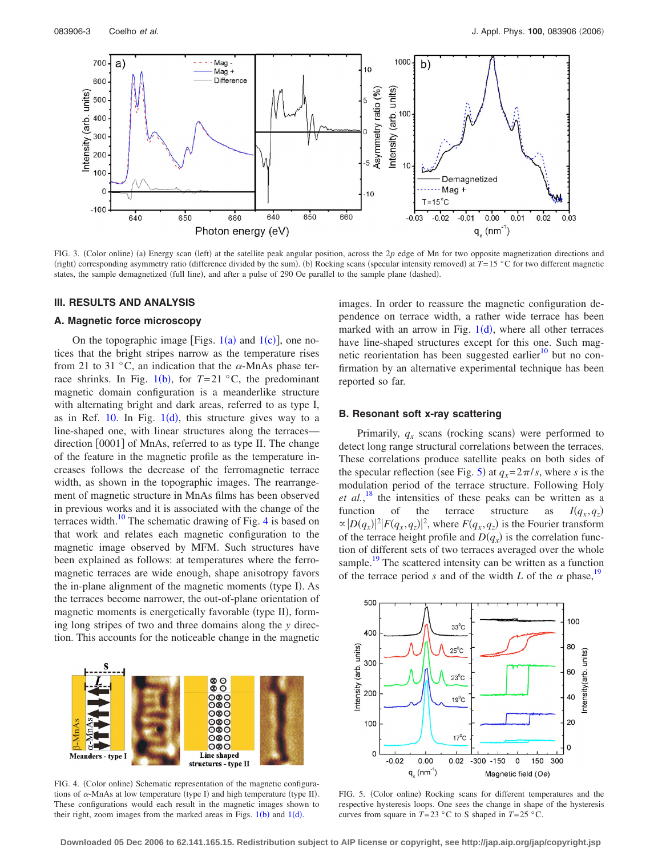<span id="page-2-0"></span>

FIG. 3. (Color online) (a) Energy scan (left) at the satellite peak angular position, across the 2*p* edge of Mn for two opposite magnetization directions and (right) corresponding asymmetry ratio (difference divided by the sum). (b) Rocking scans (specular intensity removed) at *T*=15 °C for two different magnetic states, the sample demagnetized (full line), and after a pulse of 290 Oe parallel to the sample plane (dashed).

## **III. RESULTS AND ANALYSIS**

# **A. Magnetic force microscopy**

On the topographic image [Figs.  $1(a)$  $1(a)$  and  $1(c)$ ], one notices that the bright stripes narrow as the temperature rises from 21 to 31 °C, an indication that the  $\alpha$ -MnAs phase terrace shrinks. In Fig.  $1(b)$  $1(b)$ , for  $T=21$  °C, the predominant magnetic domain configuration is a meanderlike structure with alternating bright and dark areas, referred to as type I, as in Ref.  $10$  $10$ . In Fig.  $1(d)$ , this structure gives way to a line-shaped one, with linear structures along the terraces direction [0001] of MnAs, referred to as type II. The change of the feature in the magnetic profile as the temperature increases follows the decrease of the ferromagnetic terrace width, as shown in the topographic images. The rearrangement of magnetic structure in MnAs films has been observed in previous works and it is associated with the change of the terraces width.<sup>10</sup> The schematic drawing of Fig. [4](#page-2-1) is based on that work and relates each magnetic configuration to the magnetic image observed by MFM. Such structures have been explained as follows: at temperatures where the ferromagnetic terraces are wide enough, shape anisotropy favors the in-plane alignment of the magnetic moments (type I). As the terraces become narrower, the out-of-plane orientation of magnetic moments is energetically favorable (type II), forming long stripes of two and three domains along the *y* direction. This accounts for the noticeable change in the magnetic

<span id="page-2-1"></span>

FIG. 4. (Color online) Schematic representation of the magnetic configurations of  $\alpha$ -MnAs at low temperature (type I) and high temperature (type II). These configurations would each result in the magnetic images shown to their right, zoom images from the marked areas in Figs.  $1(b)$  $1(b)$  and  $1(d)$ .

images. In order to reassure the magnetic configuration dependence on terrace width, a rather wide terrace has been marked with an arrow in Fig.  $1(d)$  $1(d)$ , where all other terraces have line-shaped structures except for this one. Such magnetic reorientation has been suggested earlier $10$  but no confirmation by an alternative experimental technique has been reported so far.

# **B. Resonant soft x-ray scattering**

Primarily,  $q_x$  scans (rocking scans) were performed to detect long range structural correlations between the terraces. These correlations produce satellite peaks on both sides of the specular reflection (see Fig. [5](#page-2-2)) at  $q_x = 2\pi/s$ , where *s* is the modulation period of the terrace structure. Following Holy et al.,<sup>[18](#page-6-0)</sup> the intensities of these peaks can be written as a function of the terrace structure as  $I(q_x,q_z)$  $\propto$   $|D(q_x)|^2 |F(q_x, q_z)|^2$ , where  $F(q_x, q_z)$  is the Fourier transform of the terrace height profile and  $D(q_x)$  is the correlation function of different sets of two terraces averaged over the whole sample.<sup>19</sup> The scattered intensity can be written as a function of the terrace period *s* and of the width *L* of the  $\alpha$  phase,<sup>1</sup>

<span id="page-2-2"></span>

FIG. 5. (Color online) Rocking scans for different temperatures and the respective hysteresis loops. One sees the change in shape of the hysteresis curves from square in  $T=23$  °C to S shaped in  $T=25$  °C.

**Downloaded 05 Dec 2006 to 62.141.165.15. Redistribution subject to AIP license or copyright, see http://jap.aip.org/jap/copyright.jsp**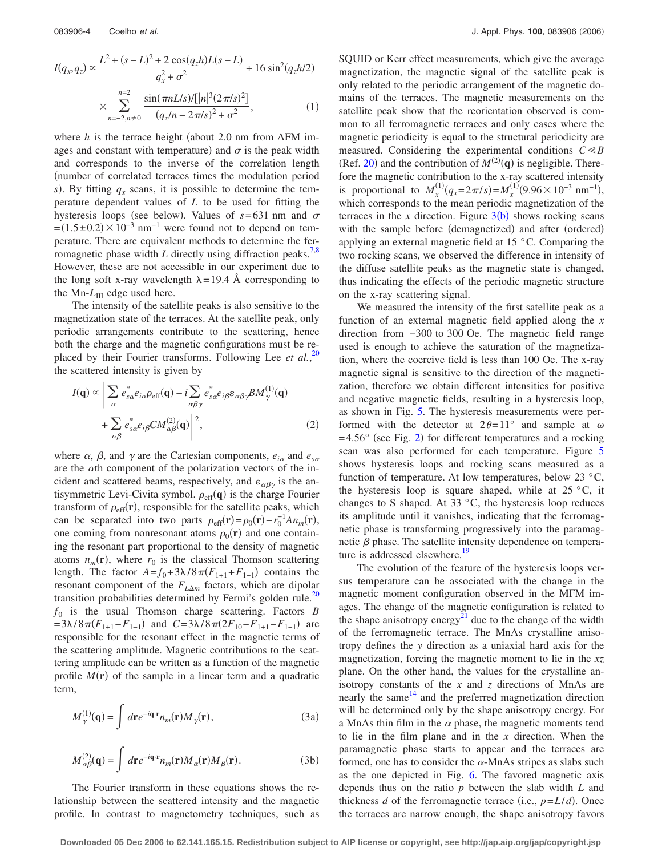$$
I(q_x, q_z) \propto \frac{L^2 + (s - L)^2 + 2\cos(q_z h)L(s - L)}{q_x^2 + \sigma^2} + 16\sin^2(q_z h/2)
$$

$$
\times \sum_{n=-2, n \neq 0}^{n=2} \frac{\sin(\pi n L/s)/[|n|^3 (2\pi/s)^2]}{(q_x / n - 2\pi/s)^2 + \sigma^2},
$$
(1)

where  $h$  is the terrace height (about 2.0 nm from AFM images and constant with temperature) and  $\sigma$  is the peak width and corresponds to the inverse of the correlation length number of correlated terraces times the modulation period *s*). By fitting  $q_x$  scans, it is possible to determine the temperature dependent values of *L* to be used for fitting the hysteresis loops (see below). Values of  $s = 631$  nm and  $\sigma$  $=(1.5\pm0.2)\times10^{-3}$  nm<sup>-1</sup> were found not to depend on temperature. There are equivalent methods to determine the ferromagnetic phase width  $L$  directly using diffraction peaks.<sup>7[,8](#page-5-7)</sup> However, these are not accessible in our experiment due to the long soft x-ray wavelength  $\lambda = 19.4$  Å corresponding to the Mn- $L_{\text{III}}$  edge used here.

The intensity of the satellite peaks is also sensitive to the magnetization state of the terraces. At the satellite peak, only periodic arrangements contribute to the scattering, hence both the charge and the magnetic configurations must be re-placed by their Fourier transforms. Following Lee et al.,<sup>[20](#page-6-2)</sup> the scattered intensity is given by

$$
I(\mathbf{q}) \propto \left| \sum_{\alpha} e_{s\alpha}^* e_{i\alpha} \rho_{\text{eff}}(\mathbf{q}) - i \sum_{\alpha\beta\gamma} e_{s\alpha}^* e_{i\beta} \varepsilon_{\alpha\beta\gamma} B M_{\gamma}^{(1)}(\mathbf{q}) \right|
$$
  
+ 
$$
\sum_{\alpha\beta} e_{s\alpha}^* e_{i\beta} C M_{\alpha\beta}^{(2)}(\mathbf{q}) \right|^2, \tag{2}
$$

where  $\alpha$ ,  $\beta$ , and  $\gamma$  are the Cartesian components,  $e_{i\alpha}$  and  $e_{s\alpha}$ are the  $\alpha$ th component of the polarization vectors of the incident and scattered beams, respectively, and  $\varepsilon_{\alpha\beta\gamma}$  is the antisymmetric Levi-Civita symbol.  $\rho_{\text{eff}}(\mathbf{q})$  is the charge Fourier transform of  $\rho_{\text{eff}}(\mathbf{r})$ , responsible for the satellite peaks, which can be separated into two parts  $\rho_{\text{eff}}(\mathbf{r}) = \rho_0(\mathbf{r}) - r_0^{-1} A n_m(\mathbf{r}),$ one coming from nonresonant atoms  $\rho_0(\mathbf{r})$  and one containing the resonant part proportional to the density of magnetic atoms  $n_m(\mathbf{r})$ , where  $r_0$  is the classical Thomson scattering length. The factor  $A = f_0 + 3\lambda/8\pi (F_{1+1} + F_{1-1})$  contains the resonant component of the  $F_{L\Delta m}$  factors, which are dipolar transition probabilities determined by Fermi's golden rule.<sup>20</sup>  $f_0$  is the usual Thomson charge scattering. Factors  $B$  $= 3\lambda/8\pi (F_{1+1} - F_{1-1})$  and  $C = 3\lambda/8\pi (2F_{10} - F_{1+1} - F_{1-1})$  are responsible for the resonant effect in the magnetic terms of the scattering amplitude. Magnetic contributions to the scattering amplitude can be written as a function of the magnetic profile  $M(r)$  of the sample in a linear term and a quadratic term,

$$
M_{\gamma}^{(1)}(\mathbf{q}) = \int d\mathbf{r} e^{-i\mathbf{q} \cdot \mathbf{r}} n_m(\mathbf{r}) M_{\gamma}(\mathbf{r}),
$$
 (3a)

$$
M_{\alpha\beta}^{(2)}(\mathbf{q}) = \int d\mathbf{r} e^{-i\mathbf{q}\cdot\mathbf{r}} n_m(\mathbf{r}) M_{\alpha}(\mathbf{r}) M_{\beta}(\mathbf{r}).
$$
 (3b)

The Fourier transform in these equations shows the relationship between the scattered intensity and the magnetic profile. In contrast to magnetometry techniques, such as SQUID or Kerr effect measurements, which give the average magnetization, the magnetic signal of the satellite peak is only related to the periodic arrangement of the magnetic domains of the terraces. The magnetic measurements on the satellite peak show that the reorientation observed is common to all ferromagnetic terraces and only cases where the magnetic periodicity is equal to the structural periodicity are measured. Considering the experimental conditions  $C \ll B$ (Ref. [20](#page-6-2)) and the contribution of  $M^{(2)}(q)$  is negligible. Therefore the magnetic contribution to the x-ray scattered intensity is proportional to  $M_x^{(1)}(q_x=2\pi/s) = M_x^{(1)}(9.96\times10^{-3} \text{ nm}^{-1}),$ which corresponds to the mean periodic magnetization of the terraces in the  $x$  direction. Figure  $3(b)$  $3(b)$  shows rocking scans with the sample before (demagnetized) and after (ordered) applying an external magnetic field at 15 °C. Comparing the two rocking scans, we observed the difference in intensity of the diffuse satellite peaks as the magnetic state is changed, thus indicating the effects of the periodic magnetic structure on the x-ray scattering signal.

We measured the intensity of the first satellite peak as a function of an external magnetic field applied along the *x* direction from −300 to 300 Oe. The magnetic field range used is enough to achieve the saturation of the magnetization, where the coercive field is less than 100 Oe. The x-ray magnetic signal is sensitive to the direction of the magnetization, therefore we obtain different intensities for positive and negative magnetic fields, resulting in a hysteresis loop, as shown in Fig. [5.](#page-2-2) The hysteresis measurements were performed with the detector at  $2\theta = 11^{\circ}$  and sample at  $\omega$  $= 4.56^{\circ}$  (see Fig. [2](#page-1-1)) for different temperatures and a rocking scan was also performed for each temperature. Figure [5](#page-2-2) shows hysteresis loops and rocking scans measured as a function of temperature. At low temperatures, below 23 °C, the hysteresis loop is square shaped, while at  $25 \degree C$ , it changes to S shaped. At 33 °C, the hysteresis loop reduces its amplitude until it vanishes, indicating that the ferromagnetic phase is transforming progressively into the paramagnetic  $\beta$  phase. The satellite intensity dependence on temperature is addressed elsewhere.<sup>19</sup>

The evolution of the feature of the hysteresis loops versus temperature can be associated with the change in the magnetic moment configuration observed in the MFM images. The change of the magnetic configuration is related to the shape anisotropy energy<sup>21</sup> due to the change of the width of the ferromagnetic terrace. The MnAs crystalline anisotropy defines the *y* direction as a uniaxial hard axis for the magnetization, forcing the magnetic moment to lie in the *xz* plane. On the other hand, the values for the crystalline anisotropy constants of the  $x$  and  $z$  directions of MnAs are nearly the same  $14$  and the preferred magnetization direction will be determined only by the shape anisotropy energy. For a MnAs thin film in the  $\alpha$  phase, the magnetic moments tend to lie in the film plane and in the *x* direction. When the paramagnetic phase starts to appear and the terraces are formed, one has to consider the  $\alpha$ -MnAs stripes as slabs such as the one depicted in Fig. [6.](#page-4-0) The favored magnetic axis depends thus on the ratio *p* between the slab width *L* and thickness *d* of the ferromagnetic terrace (i.e.,  $p = L/d$ ). Once the terraces are narrow enough, the shape anisotropy favors

**Downloaded 05 Dec 2006 to 62.141.165.15. Redistribution subject to AIP license or copyright, see http://jap.aip.org/jap/copyright.jsp**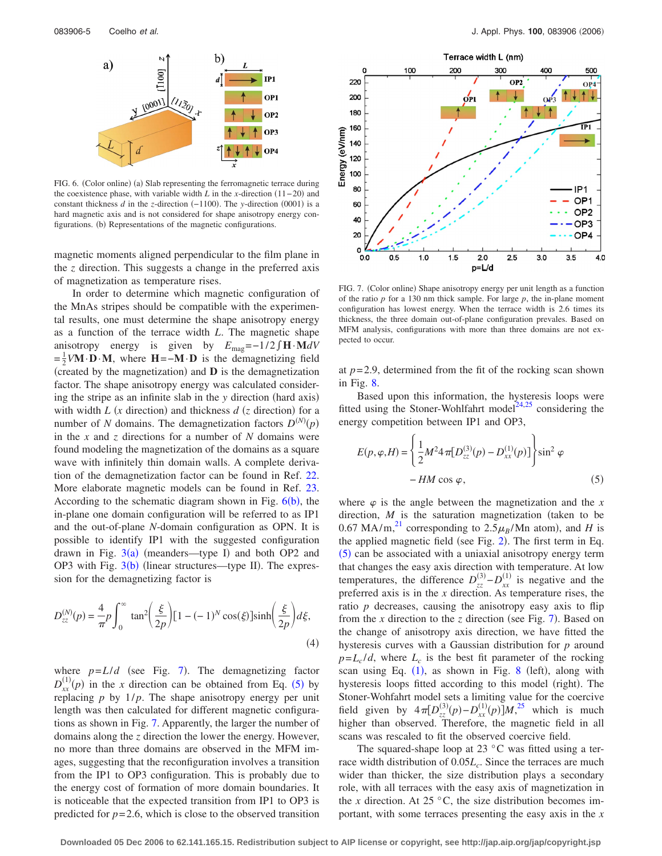<span id="page-4-0"></span>

FIG. 6. (Color online) (a) Slab representing the ferromagnetic terrace during the coexistence phase, with variable width  $L$  in the *x*-direction  $(11-20)$  and constant thickness  $d$  in the *z*-direction  $(-1100)$ . The *y*-direction  $(0001)$  is a hard magnetic axis and is not considered for shape anisotropy energy configurations. (b) Representations of the magnetic configurations.

magnetic moments aligned perpendicular to the film plane in the *z* direction. This suggests a change in the preferred axis of magnetization as temperature rises.

In order to determine which magnetic configuration of the MnAs stripes should be compatible with the experimental results, one must determine the shape anisotropy energy as a function of the terrace width *L*. The magnetic shape anisotropy energy is given by  $E_{\text{mag}} = -1/2 \int \mathbf{H} \cdot \mathbf{M} dV$  $=\frac{1}{2}V\mathbf{M}\cdot\mathbf{D}\cdot\mathbf{M}$ , where  $\mathbf{H}=-\mathbf{M}\cdot\mathbf{D}$  is the demagnetizing field (created by the magnetization) and  $\bf{D}$  is the demagnetization factor. The shape anisotropy energy was calculated considering the stripe as an infinite slab in the *y* direction (hard axis) with width  $L$  (x direction) and thickness  $d$  (z direction) for a number of *N* domains. The demagnetization factors  $D^{(N)}(p)$ in the *x* and *z* directions for a number of *N* domains were found modeling the magnetization of the domains as a square wave with infinitely thin domain walls. A complete derivation of the demagnetization factor can be found in Ref. [22.](#page-6-4) More elaborate magnetic models can be found in Ref. [23.](#page-6-5) According to the schematic diagram shown in Fig.  $6(b)$  $6(b)$ , the in-plane one domain configuration will be referred to as IP1 and the out-of-plane *N*-domain configuration as OPN. It is possible to identify IP1 with the suggested configuration drawn in Fig.  $3(a)$  $3(a)$  (meanders—type I) and both OP2 and OP[3](#page-2-0) with Fig.  $3(b)$  (linear structures—type II). The expression for the demagnetizing factor is

$$
D_{zz}^{(N)}(p) = \frac{4}{\pi} p \int_0^\infty \tan^2 \left(\frac{\xi}{2p}\right) [1 - (-1)^N \cos(\xi)] \sinh \left(\frac{\xi}{2p}\right) d\xi,
$$
\n(4)

where  $p=L/d$  (see Fig. [7](#page-4-1)). The demagnetizing factor  $D_{xx}^{(1)}(p)$  in the *x* direction can be obtained from Eq. ([5](#page-4-2)) by replacing  $p$  by  $1/p$ . The shape anisotropy energy per unit length was then calculated for different magnetic configurations as shown in Fig. [7.](#page-4-1) Apparently, the larger the number of domains along the *z* direction the lower the energy. However, no more than three domains are observed in the MFM images, suggesting that the reconfiguration involves a transition from the IP1 to OP3 configuration. This is probably due to the energy cost of formation of more domain boundaries. It is noticeable that the expected transition from IP1 to OP3 is predicted for  $p=2.6$ , which is close to the observed transition

<span id="page-4-1"></span>

FIG. 7. (Color online) Shape anisotropy energy per unit length as a function of the ratio *p* for a 130 nm thick sample. For large *p*, the in-plane moment configuration has lowest energy. When the terrace width is 2.6 times its thickness, the three domain out-of-plane configuration prevales. Based on MFM analysis, configurations with more than three domains are not expected to occur.

at  $p=2.9$ , determined from the fit of the rocking scan shown in Fig. [8.](#page-5-16)

Based upon this information, the hysteresis loops were fitted using the Stoner-Wohlfahrt model $14,25$  $14,25$  considering the energy competition between IP1 and OP3,

<span id="page-4-2"></span>
$$
E(p, \varphi, H) = \left\{ \frac{1}{2} M^2 4 \pi [D_{zz}^{(3)}(p) - D_{xx}^{(1)}(p)] \right\} \sin^2 \varphi -HM \cos \varphi,
$$
 (5)

where  $\varphi$  is the angle between the magnetization and the *x* direction,  $M$  is the saturation magnetization (taken to be 0.67 MA/m,<sup>[21](#page-6-3)</sup> corresponding to  $2.5\mu_B/\text{Mn}$  atom), and *H* is the applied magnetic field (see Fig. [2](#page-1-1)). The first term in Eq. ([5](#page-4-2)) can be associated with a uniaxial anisotropy energy term that changes the easy axis direction with temperature. At low temperatures, the difference  $D_{zz}^{(3)} - D_{xx}^{(1)}$  is negative and the preferred axis is in the *x* direction. As temperature rises, the ratio *p* decreases, causing the anisotropy easy axis to flip from the  $x$  direction to the  $z$  direction (see Fig. [7](#page-4-1)). Based on the change of anisotropy axis direction, we have fitted the hysteresis curves with a Gaussian distribution for *p* around  $p=L_c/d$ , where  $L_c$  is the best fit parameter of the rocking scan using Eq.  $(1)$  $(1)$  $(1)$ , as shown in Fig. [8](#page-5-16) (left), along with hysteresis loops fitted according to this model (right). The Stoner-Wohfahrt model sets a limiting value for the coercive field given by  $4\pi [D_{zz}^{(3)}(p) - D_{xx}^{(1)}(p)]M_{\gamma}^{25}$  $4\pi [D_{zz}^{(3)}(p) - D_{xx}^{(1)}(p)]M_{\gamma}^{25}$  $4\pi [D_{zz}^{(3)}(p) - D_{xx}^{(1)}(p)]M_{\gamma}^{25}$  which is much higher than observed. Therefore, the magnetic field in all scans was rescaled to fit the observed coercive field.

The squared-shape loop at  $23^{\circ}$ C was fitted using a terrace width distribution of  $0.05L_c$ . Since the terraces are much wider than thicker, the size distribution plays a secondary role, with all terraces with the easy axis of magnetization in the *x* direction. At 25  $\degree$ C, the size distribution becomes important, with some terraces presenting the easy axis in the *x*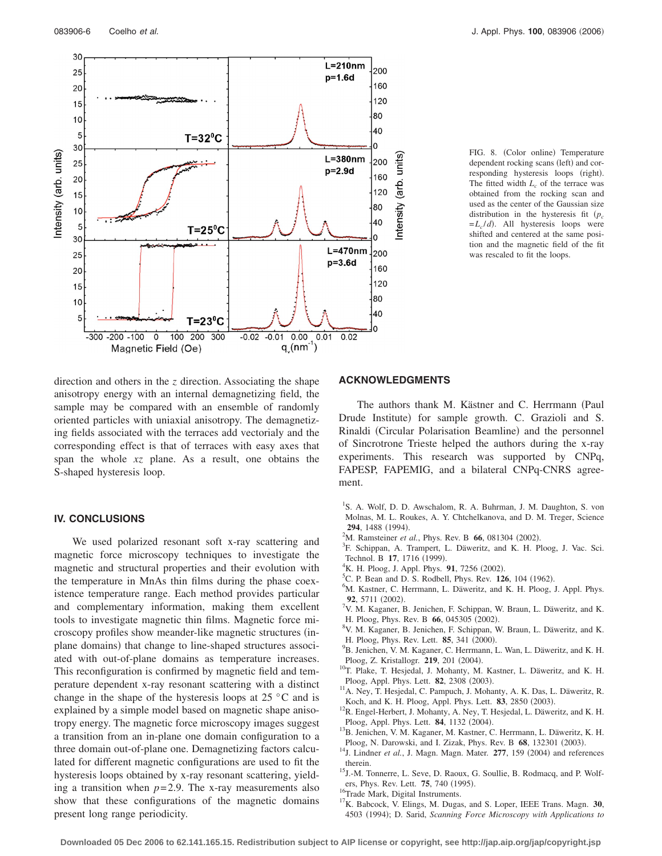<span id="page-5-16"></span>

FIG. 8. (Color online) Temperature dependent rocking scans (left) and corresponding hysteresis loops (right). The fitted width  $L_c$  of the terrace was obtained from the rocking scan and used as the center of the Gaussian size distribution in the hysteresis fit *pc*  $=L_c/d$ . All hysteresis loops were shifted and centered at the same position and the magnetic field of the fit was rescaled to fit the loops.

direction and others in the *z* direction. Associating the shape anisotropy energy with an internal demagnetizing field, the sample may be compared with an ensemble of randomly oriented particles with uniaxial anisotropy. The demagnetizing fields associated with the terraces add vectorialy and the corresponding effect is that of terraces with easy axes that span the whole *xz* plane. As a result, one obtains the S-shaped hysteresis loop.

## **IV. CONCLUSIONS**

We used polarized resonant soft x-ray scattering and magnetic force microscopy techniques to investigate the magnetic and structural properties and their evolution with the temperature in MnAs thin films during the phase coexistence temperature range. Each method provides particular and complementary information, making them excellent tools to investigate magnetic thin films. Magnetic force microscopy profiles show meander-like magnetic structures (inplane domains) that change to line-shaped structures associated with out-of-plane domains as temperature increases. This reconfiguration is confirmed by magnetic field and temperature dependent x-ray resonant scattering with a distinct change in the shape of the hysteresis loops at 25 °C and is explained by a simple model based on magnetic shape anisotropy energy. The magnetic force microscopy images suggest a transition from an in-plane one domain configuration to a three domain out-of-plane one. Demagnetizing factors calculated for different magnetic configurations are used to fit the hysteresis loops obtained by x-ray resonant scattering, yielding a transition when  $p=2.9$ . The x-ray measurements also show that these configurations of the magnetic domains present long range periodicity.

# **ACKNOWLEDGMENTS**

The authors thank M. Kästner and C. Herrmann (Paul Drude Institute) for sample growth. C. Grazioli and S. Rinaldi (Circular Polarisation Beamline) and the personnel of Sincrotrone Trieste helped the authors during the x-ray experiments. This research was supported by CNPq, FAPESP, FAPEMIG, and a bilateral CNPq-CNRS agreement.

- <span id="page-5-0"></span><sup>1</sup>S. A. Wolf, D. D. Awschalom, R. A. Buhrman, J. M. Daughton, S. von Molnas, M. L. Roukes, A. Y. Chtchelkanova, and D. M. Treger, Science 294, 1488 (1994).
- <span id="page-5-1"></span><sup>2</sup>M. Ramsteiner *et al.*, Phys. Rev. B **66**, 081304 (2002).
- <span id="page-5-2"></span><sup>3</sup>F. Schippan, A. Trampert, L. Däweritz, and K. H. Ploog, J. Vac. Sci. Technol. B **17**, 1716 (1999).
- <span id="page-5-3"></span><sup>4</sup>K. H. Ploog, J. Appl. Phys. **91**, 7256 (2002).
- <span id="page-5-4"></span><sup>5</sup>C. P. Bean and D. S. Rodbell, Phys. Rev. **126**, 104 (1962).
- <span id="page-5-5"></span><sup>6</sup>M. Kastner, C. Herrmann, L. Däweritz, and K. H. Ploog, J. Appl. Phys. **92**, 5711 (2002).
- <span id="page-5-6"></span> $^{7}$ V. M. Kaganer, B. Jenichen, F. Schippan, W. Braun, L. Däweritz, and K. H. Ploog, Phys. Rev. B **66**, 045305 (2002).
- <span id="page-5-7"></span>V. M. Kaganer, B. Jenichen, F. Schippan, W. Braun, L. Däweritz, and K. H. Ploog, Phys. Rev. Lett.  $85, 341$  (2000).
- <span id="page-5-8"></span><sup>9</sup>B. Jenichen, V. M. Kaganer, C. Herrmann, L. Wan, L. Däweritz, and K. H. Ploog, Z. Kristallogr. **219**, 201 (2004).
- <span id="page-5-9"></span><sup>10</sup>T. Plake, T. Hesjedal, J. Mohanty, M. Kastner, L. Däweritz, and K. H. Ploog, Appl. Phys. Lett. **82**, 2308 (2003).
- <sup>11</sup>A. Ney, T. Hesjedal, C. Pampuch, J. Mohanty, A. K. Das, L. Däweritz, R. Koch, and K. H. Ploog, Appl. Phys. Lett. **83**, 2850 (2003).
- <span id="page-5-10"></span> $12R$ . Engel-Herbert, J. Mohanty, A. Ney, T. Hesjedal, L. Däweritz, and K. H. Ploog, Appl. Phys. Lett. **84**, 1132 (2004).
- <span id="page-5-11"></span><sup>13</sup>B. Jenichen, V. M. Kaganer, M. Kastner, C. Herrmann, L. Däweritz, K. H. Ploog, N. Darowski, and I. Zizak, Phys. Rev. B 68, 132301 (2003).
- <span id="page-5-12"></span>Ploog, N. Darowski, and I. Zizak, Phys. Rev. B **68**, 132301 (2003).<br><sup>14</sup>J. Lindner *et al.*, J. Magn. Magn. Mater. **277**, 159 (2004) and references therein.
- <span id="page-5-13"></span>15J.-M. Tonnerre, L. Seve, D. Raoux, G. Soullie, B. Rodmacq, and P. Wolfers, Phys. Rev. Lett. **75**, 740 (1995).
- <span id="page-5-14"></span><sup>16</sup>Trade Mark, Digital Instruments.
- <span id="page-5-15"></span>17K. Babcock, V. Elings, M. Dugas, and S. Loper, IEEE Trans. Magn. **30**, 4503 (1994); D. Sarid, *Scanning Force Microscopy with Applications to*